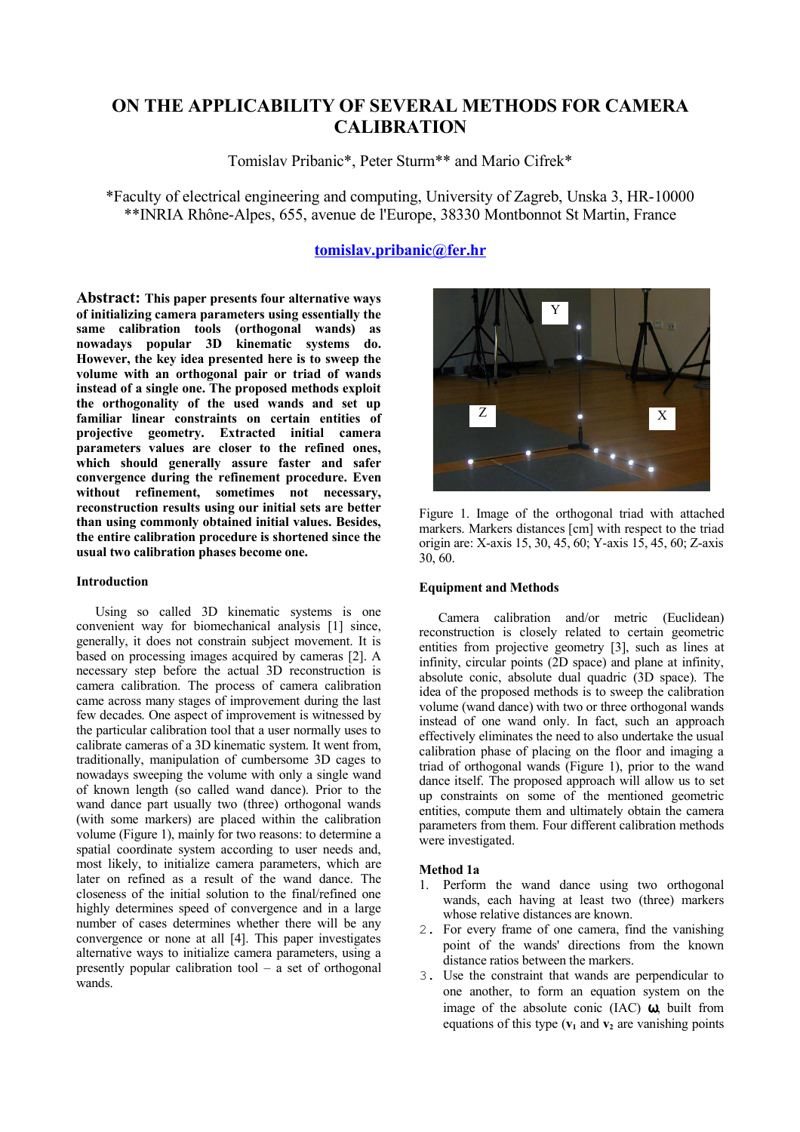# **ON THE APPLICABILITY OF SEVERAL METHODS FOR CAMERA CALIBRATION**

Tomislav Pribanic\*, Peter Sturm\*\* and Mario Cifrek\*

\*Faculty of electrical engineering and computing, University of Zagreb, Unska 3, HR-10000 \*\*INRIA Rhône-Alpes, 655, avenue de l'Europe, 38330 Montbonnot St Martin, France

# **tomislav.pribanic@fer.hr**

**Abstract: This paper presents four alternative ways of initializing camera parameters using essentially the same calibration tools (orthogonal wands) as nowadays popular 3D kinematic systems do. However, the key idea presented here is to sweep the volume with an orthogonal pair or triad of wands instead of a single one. The proposed methods exploit the orthogonality of the used wands and set up familiar linear constraints on certain entities of projective geometry. Extracted initial camera parameters values are closer to the refined ones, which should generally assure faster and safer convergence during the refinement procedure. Even without refinement, sometimes not necessary, reconstruction results using our initial sets are better than using commonly obtained initial values. Besides, the entire calibration procedure is shortened since the usual two calibration phases become one.**

# **Introduction**

Using so called 3D kinematic systems is one convenient way for biomechanical analysis [1] since, generally, it does not constrain subject movement. It is based on processing images acquired by cameras [2]. A necessary step before the actual 3D reconstruction is camera calibration. The process of camera calibration came across many stages of improvement during the last few decades. One aspect of improvement is witnessed by the particular calibration tool that a user normally uses to calibrate cameras of a 3D kinematic system. It went from, traditionally, manipulation of cumbersome 3D cages to nowadays sweeping the volume with only a single wand of known length (so called wand dance). Prior to the wand dance part usually two (three) orthogonal wands (with some markers) are placed within the calibration volume (Figure 1), mainly for two reasons: to determine a spatial coordinate system according to user needs and, most likely, to initialize camera parameters, which are later on refined as a result of the wand dance. The closeness of the initial solution to the final/refined one highly determines speed of convergence and in a large number of cases determines whether there will be any convergence or none at all [4]. This paper investigates alternative ways to initialize camera parameters, using a presently popular calibration tool – a set of orthogonal wands.



Figure 1. Image of the orthogonal triad with attached markers. Markers distances [cm] with respect to the triad origin are: X-axis 15, 30, 45, 60; Y-axis 15, 45, 60; Z-axis 30, 60.

# **Equipment and Methods**

Camera calibration and/or metric (Euclidean) reconstruction is closely related to certain geometric entities from projective geometry [3], such as lines at infinity, circular points (2D space) and plane at infinity, absolute conic, absolute dual quadric (3D space). The idea of the proposed methods is to sweep the calibration volume (wand dance) with two or three orthogonal wands instead of one wand only. In fact, such an approach effectively eliminates the need to also undertake the usual calibration phase of placing on the floor and imaging a triad of orthogonal wands (Figure 1), prior to the wand dance itself. The proposed approach will allow us to set up constraints on some of the mentioned geometric entities, compute them and ultimately obtain the camera parameters from them. Four different calibration methods were investigated.

# **Method 1a**

- 1. Perform the wand dance using two orthogonal wands, each having at least two (three) markers whose relative distances are known.
- 2. For every frame of one camera, find the vanishing point of the wands' directions from the known distance ratios between the markers.
- 3. Use the constraint that wands are perpendicular to one another, to form an equation system on the image of the absolute conic  $(IAC)$   $\omega$ , built from equations of this type  $(v_1$  and  $v_2$  are vanishing points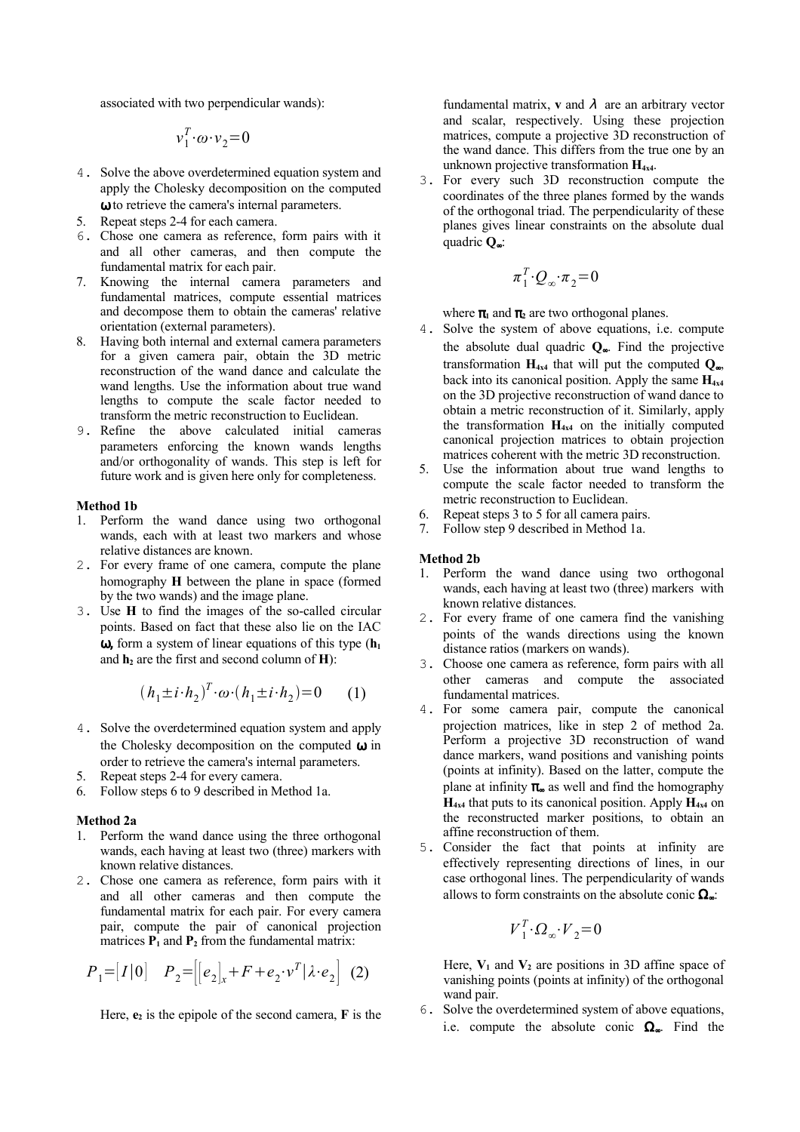associated with two perpendicular wands):

$$
v_1^T \cdot \omega \cdot v_2 = 0
$$

- 4. Solve the above overdetermined equation system and apply the Cholesky decomposition on the computed ω to retrieve the camera's internal parameters.
- 5. Repeat steps 2-4 for each camera.
- 6. Chose one camera as reference, form pairs with it and all other cameras, and then compute the fundamental matrix for each pair.
- 7. Knowing the internal camera parameters and fundamental matrices, compute essential matrices and decompose them to obtain the cameras' relative orientation (external parameters).
- 8. Having both internal and external camera parameters for a given camera pair, obtain the 3D metric reconstruction of the wand dance and calculate the wand lengths. Use the information about true wand lengths to compute the scale factor needed to transform the metric reconstruction to Euclidean.
- 9. Refine the above calculated initial cameras parameters enforcing the known wands lengths and/or orthogonality of wands. This step is left for future work and is given here only for completeness.

# **Method 1b**

- 1. Perform the wand dance using two orthogonal wands, each with at least two markers and whose relative distances are known.
- 2. For every frame of one camera, compute the plane homography **H** between the plane in space (formed by the two wands) and the image plane.
- 3. Use **H** to find the images of the so-called circular points. Based on fact that these also lie on the IAC ω, form a system of linear equations of this type (**h<sup>1</sup>** and  $h_2$  are the first and second column of **H**):

$$
(h_1 \pm i \cdot h_2)^T \cdot \omega \cdot (h_1 \pm i \cdot h_2) = 0 \qquad (1)
$$

- 4. Solve the overdetermined equation system and apply the Cholesky decomposition on the computed  $\omega$  in order to retrieve the camera's internal parameters.
- 5. Repeat steps 2-4 for every camera.
- 6. Follow steps 6 to 9 described in Method 1a.

#### **Method 2a**

- 1. Perform the wand dance using the three orthogonal wands, each having at least two (three) markers with known relative distances.
- 2. Chose one camera as reference, form pairs with it and all other cameras and then compute the fundamental matrix for each pair. For every camera pair, compute the pair of canonical projection matrices  $P_1$  and  $P_2$  from the fundamental matrix:

$$
P_1 = [I | 0] \quad P_2 = \left[ [e_2]_x + F + e_2 \cdot v^T | \lambda \cdot e_2 \right] \tag{2}
$$

Here,  $e_2$  is the epipole of the second camera,  $\bf{F}$  is the

fundamental matrix, **v** and  $\lambda$  are an arbitrary vector and scalar, respectively. Using these projection matrices, compute a projective 3D reconstruction of the wand dance. This differs from the true one by an unknown projective transformation **H4x4**.

3. For every such 3D reconstruction compute the coordinates of the three planes formed by the wands of the orthogonal triad. The perpendicularity of these planes gives linear constraints on the absolute dual quadric **Q**∞:

$$
\pi_1^T \cdot Q_\infty \cdot \pi_2 = 0
$$

where  $\pi_1$  and  $\pi_2$  are two orthogonal planes.

- 4. Solve the system of above equations, i.e. compute the absolute dual quadric **Q**∞. Find the projective transformation **H4x4** that will put the computed **Q**∞, back into its canonical position. Apply the same **H4x4** on the 3D projective reconstruction of wand dance to obtain a metric reconstruction of it. Similarly, apply the transformation  $H_{4x4}$  on the initially computed canonical projection matrices to obtain projection matrices coherent with the metric 3D reconstruction.
- 5. Use the information about true wand lengths to compute the scale factor needed to transform the metric reconstruction to Euclidean.
- 6. Repeat steps 3 to 5 for all camera pairs.
- 7. Follow step 9 described in Method 1a.

#### **Method 2b**

- 1. Perform the wand dance using two orthogonal wands, each having at least two (three) markers with known relative distances.
- 2. For every frame of one camera find the vanishing points of the wands directions using the known distance ratios (markers on wands).
- 3. Choose one camera as reference, form pairs with all other cameras and compute the associated fundamental matrices.
- 4. For some camera pair, compute the canonical projection matrices, like in step 2 of method 2a. Perform a projective 3D reconstruction of wand dance markers, wand positions and vanishing points (points at infinity). Based on the latter, compute the plane at infinity  $\pi_{\infty}$  as well and find the homography  $H_{4x4}$  that puts to its canonical position. Apply  $H_{4x4}$  on the reconstructed marker positions, to obtain an affine reconstruction of them.
- 5. Consider the fact that points at infinity are effectively representing directions of lines, in our case orthogonal lines. The perpendicularity of wands allows to form constraints on the absolute conic  $\Omega_{\text{∞}}$ :

$$
V_1^T \cdot \Omega_\infty \cdot V_2 = 0
$$

Here,  $V_1$  and  $V_2$  are positions in 3D affine space of vanishing points (points at infinity) of the orthogonal wand pair.

6. Solve the overdetermined system of above equations, i.e. compute the absolute conic  $\Omega_{\infty}$ . Find the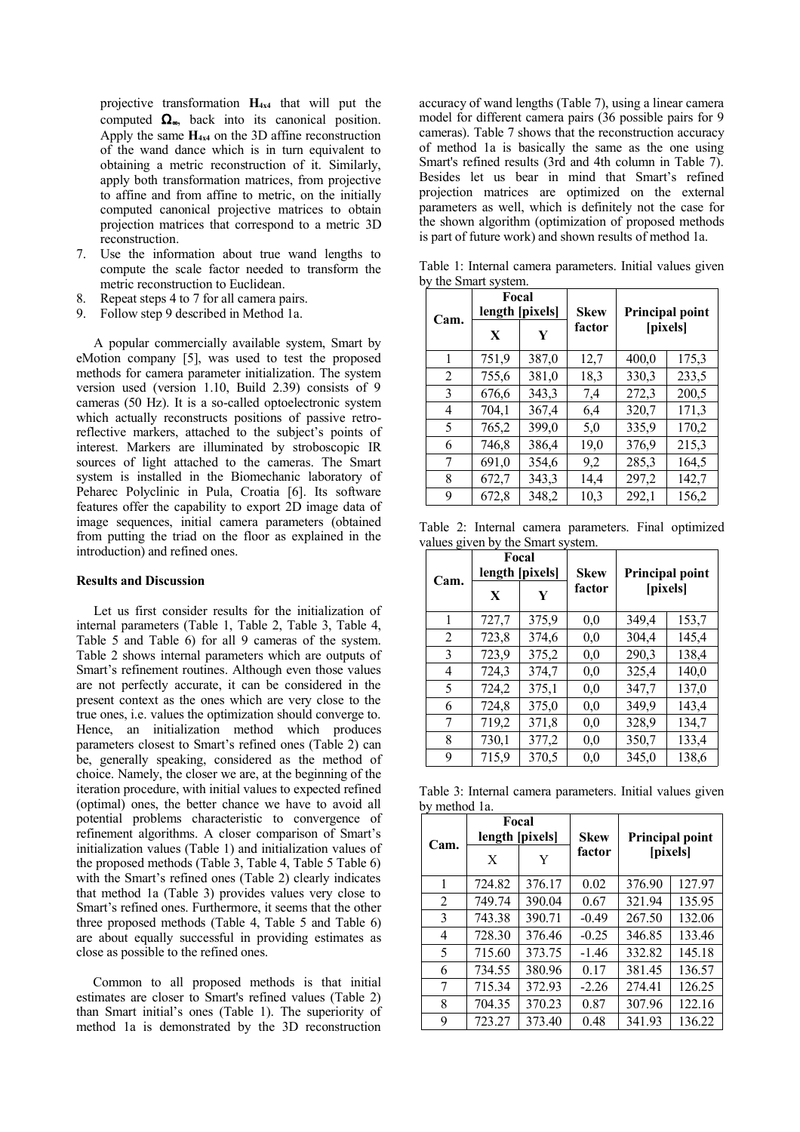projective transformation **H4x4** that will put the computed  $\Omega_{\infty}$ , back into its canonical position. Apply the same  $H_{4x4}$  on the 3D affine reconstruction of the wand dance which is in turn equivalent to obtaining a metric reconstruction of it. Similarly, apply both transformation matrices, from projective to affine and from affine to metric, on the initially computed canonical projective matrices to obtain projection matrices that correspond to a metric 3D reconstruction.

- 7. Use the information about true wand lengths to compute the scale factor needed to transform the metric reconstruction to Euclidean.
- 8. Repeat steps 4 to 7 for all camera pairs.
- 9. Follow step 9 described in Method 1a.

A popular commercially available system, Smart by eMotion company [5], was used to test the proposed methods for camera parameter initialization. The system version used (version 1.10, Build 2.39) consists of 9 cameras (50 Hz). It is a so-called optoelectronic system which actually reconstructs positions of passive retroreflective markers, attached to the subject's points of interest. Markers are illuminated by stroboscopic IR sources of light attached to the cameras. The Smart system is installed in the Biomechanic laboratory of Peharec Polyclinic in Pula, Croatia [6]. Its software features offer the capability to export 2D image data of image sequences, initial camera parameters (obtained from putting the triad on the floor as explained in the introduction) and refined ones.

# **Results and Discussion**

Let us first consider results for the initialization of internal parameters (Table 1, Table 2, Table 3, Table 4, Table 5 and Table 6) for all 9 cameras of the system. Table 2 shows internal parameters which are outputs of Smart's refinement routines. Although even those values are not perfectly accurate, it can be considered in the present context as the ones which are very close to the true ones, i.e. values the optimization should converge to. Hence, an initialization method which produces parameters closest to Smart's refined ones (Table 2) can be, generally speaking, considered as the method of choice. Namely, the closer we are, at the beginning of the iteration procedure, with initial values to expected refined (optimal) ones, the better chance we have to avoid all potential problems characteristic to convergence of refinement algorithms. A closer comparison of Smart's initialization values (Table 1) and initialization values of the proposed methods (Table 3, Table 4, Table 5 Table 6) with the Smart's refined ones (Table 2) clearly indicates that method 1a (Table 3) provides values very close to Smart's refined ones. Furthermore, it seems that the other three proposed methods (Table 4, Table 5 and Table 6) are about equally successful in providing estimates as close as possible to the refined ones.

Common to all proposed methods is that initial estimates are closer to Smart's refined values (Table 2) than Smart initial's ones (Table 1). The superiority of method 1a is demonstrated by the 3D reconstruction

accuracy of wand lengths (Table 7), using a linear camera model for different camera pairs (36 possible pairs for 9 cameras). Table 7 shows that the reconstruction accuracy of method 1a is basically the same as the one using Smart's refined results (3rd and 4th column in Table 7). Besides let us bear in mind that Smart's refined projection matrices are optimized on the external parameters as well, which is definitely not the case for the shown algorithm (optimization of proposed methods is part of future work) and shown results of method 1a.

Table 1: Internal camera parameters. Initial values given by the Smart system.

| Cam. | Focal<br>length [pixels] |       | <b>Skew</b> | Principal point |       |
|------|--------------------------|-------|-------------|-----------------|-------|
|      | $\mathbf{X}$             | Y     | factor      | <i>[pixels]</i> |       |
| 1    | 751,9                    | 387,0 |             | 400,0           | 175,3 |
| 2    | 755,6                    | 381,0 | 18,3        | 330,3           | 233,5 |
| 3    | 676,6                    | 343,3 | 7,4         | 272,3           | 200,5 |
| 4    | 704,1                    | 367,4 | 6,4         | 320,7           | 171,3 |
| 5    | 399,0<br>765,2           |       | 5,0         | 335,9           | 170,2 |
| 6    | 746,8                    | 386,4 | 19,0        | 376,9           | 215,3 |
| 7    | 691,0                    | 354,6 | 9,2         | 285,3           | 164,5 |
| 8    | 672,7                    | 343,3 | 14,4        | 297,2           | 142,7 |
| 9    | 672,8                    | 348,2 | 10,3        | 292,1           | 156,2 |

Table 2: Internal camera parameters. Final optimized values given by the Smart system.

| $\overline{\phantom{0}}$<br>Cam. | Focal<br>length [pixels] |       | <b>Skew</b> | Principal point |       |
|----------------------------------|--------------------------|-------|-------------|-----------------|-------|
|                                  | X                        | Y     | factor      | <i>[pixels]</i> |       |
| 1                                | 727,7                    | 375,9 | 0.0         | 349,4           | 153,7 |
| $\overline{2}$                   | 723,8                    | 374,6 | 0,0         | 304,4           | 145,4 |
| 3                                | 723,9                    | 375,2 | 0.0         | 290,3           | 138,4 |
| 4                                | 724,3                    | 374,7 | 0,0         | 325,4           | 140,0 |
| 5                                | 724,2                    | 375,1 | 0.0         | 347,7           | 137,0 |
| 6                                | 724,8                    | 375,0 | 0,0         | 349,9           | 143,4 |
| 7                                | 719,2                    | 371,8 | 0,0         | 328,9           | 134,7 |
| 8                                | 730,1                    | 377,2 | 0,0         | 350,7           | 133,4 |
| 9                                | 715,9                    | 370,5 | 0,0         | 345,0           | 138,6 |

Table 3: Internal camera parameters. Initial values given by method 1a.

| Cam. | Focal<br>length [pixels] |        | <b>Skew</b> | <b>Principal point</b> |        |
|------|--------------------------|--------|-------------|------------------------|--------|
|      | X                        | Y      | factor      | [pixels]               |        |
| 1    | 724.82                   | 376.17 | 0.02        | 376.90                 | 127.97 |
| 2    | 749.74                   | 390.04 | 0.67        | 321.94                 | 135.95 |
| 3    | 743.38                   | 390.71 | $-0.49$     | 267.50                 | 132.06 |
| 4    | 728.30                   | 376.46 | $-0.25$     | 346.85                 | 133.46 |
| 5    | 715.60                   | 373.75 | $-1.46$     | 332.82                 | 145.18 |
| 6    | 734.55                   | 380.96 | 0.17        | 381.45                 | 136.57 |
| 7    | 715.34                   | 372.93 | $-2.26$     | 274.41                 | 126.25 |
| 8    | 704.35                   | 370.23 | 0.87        | 307.96                 | 122.16 |
| 9    | 723.27                   | 373.40 | 0.48        | 341.93                 | 136.22 |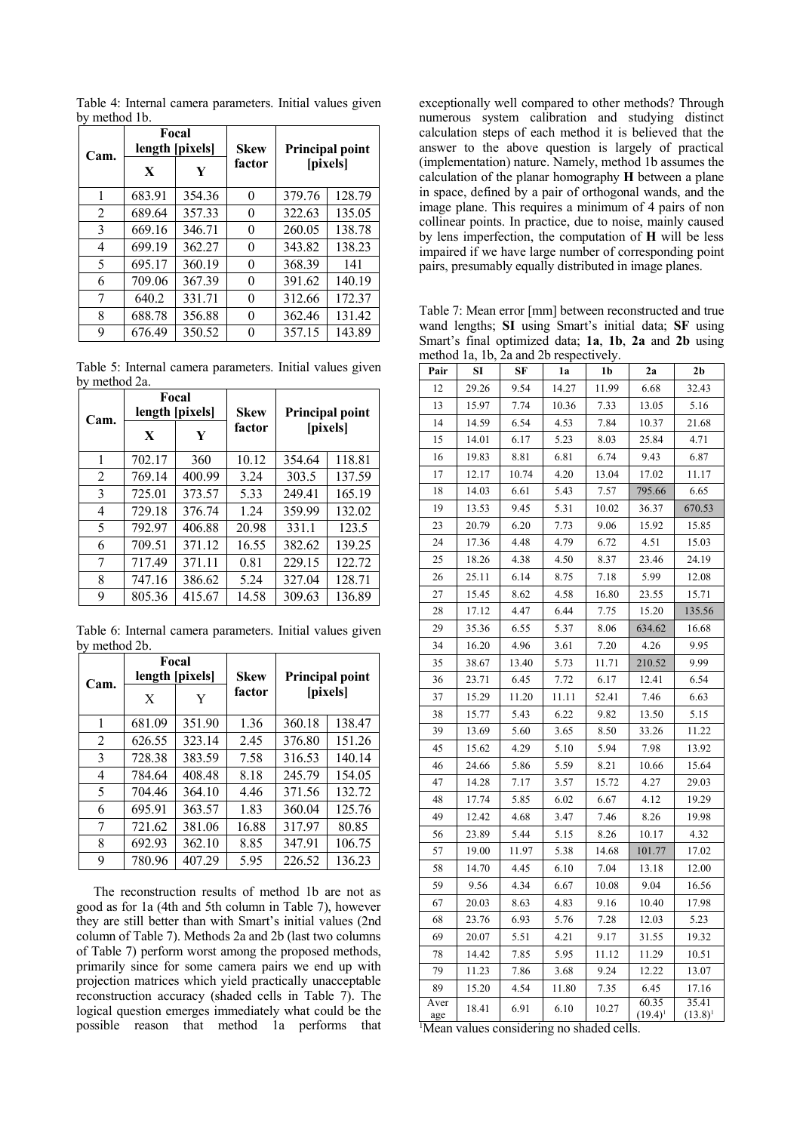| Cam. |                           | Focal  | <b>Skew</b> | <b>Principal point</b> |        |
|------|---------------------------|--------|-------------|------------------------|--------|
|      | length [pixels]<br>Y<br>X |        | factor      | [pixels]               |        |
| 1    | 683.91                    | 354.36 | 0           | 379.76                 | 128.79 |
| 2    | 689.64                    | 357.33 | 0           | 322.63                 | 135.05 |
| 3    | 669.16                    | 346.71 | 0           | 260.05                 | 138.78 |
| 4    | 699.19                    | 362.27 | 0           | 343.82                 | 138.23 |
| 5    | 695.17                    | 360.19 | 0           | 368.39                 | 141    |
| 6    | 709.06                    | 367.39 | 0           | 391.62                 | 140.19 |
| 7    | 640.2<br>331.71           |        | 0           | 312.66                 | 172.37 |
| 8    | 688.78                    | 356.88 | 0           | 362.46                 | 131.42 |
| 9    | 676.49                    | 350.52 |             | 357.15                 | 143.89 |

Table 4: Internal camera parameters. Initial values given by method 1b.

Table 5: Internal camera parameters. Initial values given by method 2a.

| Cam. | Focal<br>length [pixels] |        | <b>Skew</b> | <b>Principal point</b><br>[pixels] |        |
|------|--------------------------|--------|-------------|------------------------------------|--------|
|      | X<br>Y                   |        | factor      |                                    |        |
| 1    | 702.17                   | 360    | 10.12       | 354.64                             | 118.81 |
| 2    | 769.14                   | 400.99 | 3.24        | 303.5                              | 137.59 |
| 3    | 725.01                   | 373.57 | 5.33        | 249.41                             | 165.19 |
| 4    | 729.18                   | 376.74 | 1.24        | 359.99                             | 132.02 |
| 5    | 792.97                   | 406.88 | 20.98       | 331.1                              | 123.5  |
| 6    | 709.51                   | 371.12 | 16.55       | 382.62                             | 139.25 |
| 7    | 717.49                   | 371.11 | 0.81        | 229.15                             | 122.72 |
| 8    | 747.16                   | 386.62 | 5.24        | 327.04                             | 128.71 |
| 9    | 805.36                   | 415.67 | 14.58       | 309.63                             | 136.89 |

Table 6: Internal camera parameters. Initial values given by method 2b.

| Cam. | Focal<br>length [pixels] |        | Skew  | Principal point<br>[pixels] |        |
|------|--------------------------|--------|-------|-----------------------------|--------|
|      | X                        | Y      |       |                             |        |
| 1    | 681.09                   | 351.90 | 1.36  | 360.18                      | 138.47 |
| 2    | 626.55                   | 323.14 | 2.45  | 376.80                      | 151.26 |
| 3    | 728.38                   | 383.59 | 7.58  | 316.53                      | 140.14 |
| 4    | 784.64                   | 408.48 | 8.18  | 245.79                      | 154.05 |
| 5    | 704.46                   | 364.10 | 4.46  | 371.56                      | 132.72 |
| 6    | 695.91                   | 363.57 | 1.83  | 360.04                      | 125.76 |
| 7    | 721.62                   | 381.06 | 16.88 | 317.97                      | 80.85  |
| 8    | 692.93                   | 362.10 | 8.85  | 347.91                      | 106.75 |
| 9    | 780.96<br>407.29         |        | 5.95  | 226.52                      | 136.23 |

The reconstruction results of method 1b are not as good as for 1a (4th and 5th column in Table 7), however they are still better than with Smart's initial values (2nd column of Table 7). Methods 2a and 2b (last two columns of Table 7) perform worst among the proposed methods, primarily since for some camera pairs we end up with projection matrices which yield practically unacceptable reconstruction accuracy (shaded cells in Table 7). The logical question emerges immediately what could be the possible reason that method 1a performs that exceptionally well compared to other methods? Through numerous system calibration and studying distinct calculation steps of each method it is believed that the answer to the above question is largely of practical (implementation) nature. Namely, method 1b assumes the calculation of the planar homography **H** between a plane in space, defined by a pair of orthogonal wands, and the image plane. This requires a minimum of 4 pairs of non collinear points. In practice, due to noise, mainly caused by lens imperfection, the computation of **H** will be less impaired if we have large number of corresponding point pairs, presumably equally distributed in image planes.

Table 7: Mean error [mm] between reconstructed and true wand lengths; **SI** using Smart's initial data; **SF** using Smart's final optimized data; **1a**, **1b**, **2a** and **2b** using method 1a, 1b, 2a and 2b respectively.

| Pair        | SI    | SF    | 1a    | 1b    | 2a                  | 2 <sub>b</sub>      |
|-------------|-------|-------|-------|-------|---------------------|---------------------|
| 12          | 29.26 | 9.54  | 14.27 | 11.99 | 6.68                | 32.43               |
| 13          | 15.97 | 7.74  | 10.36 | 7.33  | 13.05               | 5.16                |
| 14          | 14.59 | 6.54  | 4.53  | 7.84  | 10.37               | 21.68               |
| 15          | 14.01 | 6.17  | 5.23  | 8.03  | 25.84               | 4.71                |
| 16          | 19.83 | 8.81  | 6.81  | 6.74  | 9.43                | 6.87                |
| 17          | 12.17 | 10.74 | 4.20  | 13.04 | 17.02               | 11.17               |
| 18          | 14.03 | 6.61  | 5.43  | 7.57  | 795.66              | 6.65                |
| 19          | 13.53 | 9.45  | 5.31  | 10.02 | 36.37               | 670.53              |
| 23          | 20.79 | 6.20  | 7.73  | 9.06  | 15.92               | 15.85               |
| 24          | 17.36 | 4.48  | 4.79  | 6.72  | 4.51                | 15.03               |
| 25          | 18.26 | 4.38  | 4.50  | 8.37  | 23.46               | 24.19               |
| 26          | 25.11 | 6.14  | 8.75  | 7.18  | 5.99                | 12.08               |
| 27          | 15.45 | 8.62  | 4.58  | 16.80 | 23.55               | 15.71               |
| 28          | 17.12 | 4.47  | 6.44  | 7.75  | 15.20               | 135.56              |
| 29          | 35.36 | 6.55  | 5.37  | 8.06  | 634.62              | 16.68               |
| 34          | 16.20 | 4.96  | 3.61  | 7.20  | 4.26                | 9.95                |
| 35          | 38.67 | 13.40 | 5.73  | 11.71 | 210.52              | 9.99                |
| 36          | 23.71 | 6.45  | 7.72  | 6.17  | 12.41               | 6.54                |
| 37          | 15.29 | 11.20 | 11.11 | 52.41 | 7.46                | 6.63                |
| 38          | 15.77 | 5.43  | 6.22  | 9.82  | 13.50               | 5.15                |
| 39          | 13.69 | 5.60  | 3.65  | 8.50  | 33.26               | 11.22               |
| 45          | 15.62 | 4.29  | 5.10  | 5.94  | 7.98                | 13.92               |
| 46          | 24.66 | 5.86  | 5.59  | 8.21  | 10.66               | 15.64               |
| 47          | 14.28 | 7.17  | 3.57  | 15.72 | 4.27                | 29.03               |
| 48          | 17.74 | 5.85  | 6.02  | 6.67  | 4.12                | 19.29               |
| 49          | 12.42 | 4.68  | 3.47  | 7.46  | 8.26                | 19.98               |
| 56          | 23.89 | 5.44  | 5.15  | 8.26  | 10.17               | 4.32                |
| 57          | 19.00 | 11.97 | 5.38  | 14.68 | 101.77              | 17.02               |
| 58          | 14.70 | 4.45  | 6.10  | 7.04  | 13.18               | 12.00               |
| 59          | 9.56  | 4.34  | 6.67  | 10.08 | 9.04                | 16.56               |
| 67          | 20.03 | 8.63  | 4.83  | 9.16  | 10.40               | 17.98               |
| 68          | 23.76 | 6.93  | 5.76  | 7.28  | 12.03               | 5.23                |
| 69          | 20.07 | 5.51  | 4.21  | 9.17  | 31.55               | 19.32               |
| 78          | 14.42 | 7.85  | 5.95  | 11.12 | 11.29               | 10.51               |
| 79          | 11.23 | 7.86  | 3.68  | 9.24  | 12.22               | 13.07               |
| 89          | 15.20 | 4.54  | 11.80 | 7.35  | 6.45                | 17.16               |
| Aver<br>age | 18.41 | 6.91  | 6.10  | 10.27 | 60.35<br>$(19.4)^1$ | 35.41<br>$(13.8)^1$ |

<sup>1</sup>Mean values considering no shaded cells.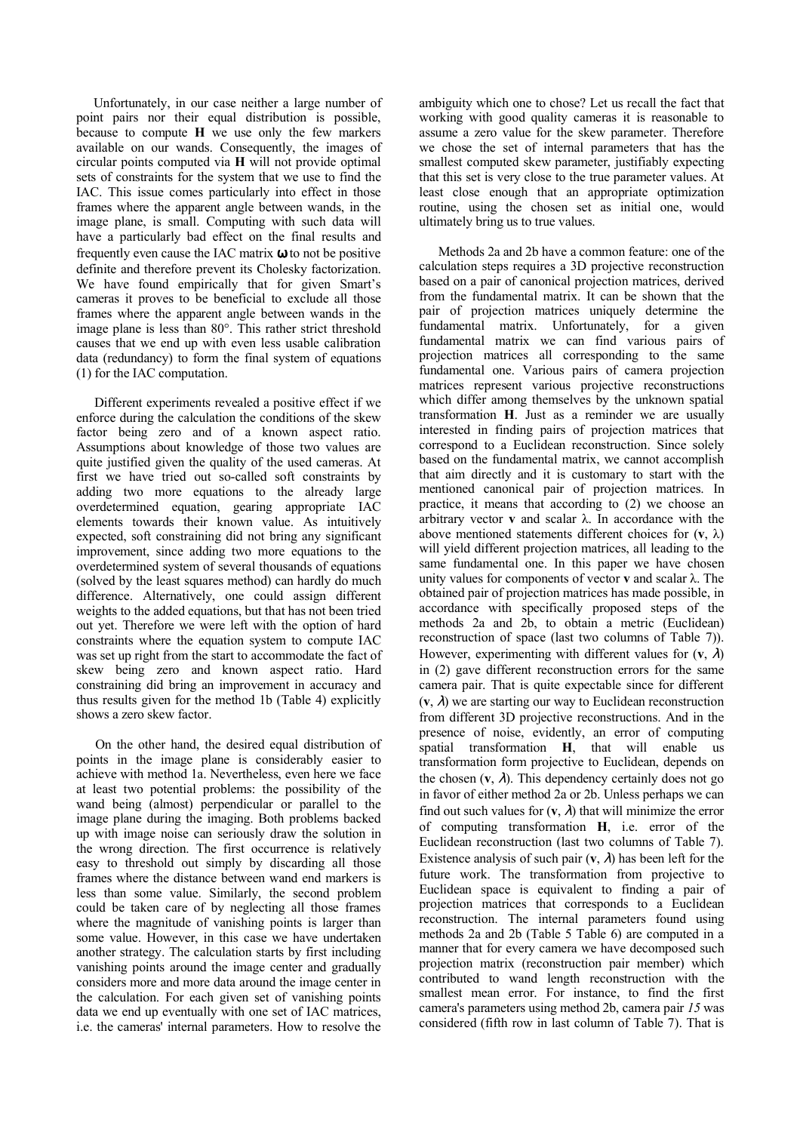Unfortunately, in our case neither a large number of point pairs nor their equal distribution is possible, because to compute **H** we use only the few markers available on our wands. Consequently, the images of circular points computed via **H** will not provide optimal sets of constraints for the system that we use to find the IAC. This issue comes particularly into effect in those frames where the apparent angle between wands, in the image plane, is small. Computing with such data will have a particularly bad effect on the final results and frequently even cause the IAC matrix  $\omega$  to not be positive definite and therefore prevent its Cholesky factorization. We have found empirically that for given Smart's cameras it proves to be beneficial to exclude all those frames where the apparent angle between wands in the image plane is less than 80°. This rather strict threshold causes that we end up with even less usable calibration data (redundancy) to form the final system of equations (1) for the IAC computation.

Different experiments revealed a positive effect if we enforce during the calculation the conditions of the skew factor being zero and of a known aspect ratio. Assumptions about knowledge of those two values are quite justified given the quality of the used cameras. At first we have tried out so-called soft constraints by adding two more equations to the already large overdetermined equation, gearing appropriate IAC elements towards their known value. As intuitively expected, soft constraining did not bring any significant improvement, since adding two more equations to the overdetermined system of several thousands of equations (solved by the least squares method) can hardly do much difference. Alternatively, one could assign different weights to the added equations, but that has not been tried out yet. Therefore we were left with the option of hard constraints where the equation system to compute IAC was set up right from the start to accommodate the fact of skew being zero and known aspect ratio. Hard constraining did bring an improvement in accuracy and thus results given for the method 1b (Table 4) explicitly shows a zero skew factor.

On the other hand, the desired equal distribution of points in the image plane is considerably easier to achieve with method 1a. Nevertheless, even here we face at least two potential problems: the possibility of the wand being (almost) perpendicular or parallel to the image plane during the imaging. Both problems backed up with image noise can seriously draw the solution in the wrong direction. The first occurrence is relatively easy to threshold out simply by discarding all those frames where the distance between wand end markers is less than some value. Similarly, the second problem could be taken care of by neglecting all those frames where the magnitude of vanishing points is larger than some value. However, in this case we have undertaken another strategy. The calculation starts by first including vanishing points around the image center and gradually considers more and more data around the image center in the calculation. For each given set of vanishing points data we end up eventually with one set of IAC matrices, i.e. the cameras' internal parameters. How to resolve the ambiguity which one to chose? Let us recall the fact that working with good quality cameras it is reasonable to assume a zero value for the skew parameter. Therefore we chose the set of internal parameters that has the smallest computed skew parameter, justifiably expecting that this set is very close to the true parameter values. At least close enough that an appropriate optimization routine, using the chosen set as initial one, would ultimately bring us to true values.

Methods 2a and 2b have a common feature: one of the calculation steps requires a 3D projective reconstruction based on a pair of canonical projection matrices, derived from the fundamental matrix. It can be shown that the pair of projection matrices uniquely determine the fundamental matrix. Unfortunately, for a given fundamental matrix we can find various pairs of projection matrices all corresponding to the same fundamental one. Various pairs of camera projection matrices represent various projective reconstructions which differ among themselves by the unknown spatial transformation **H**. Just as a reminder we are usually interested in finding pairs of projection matrices that correspond to a Euclidean reconstruction. Since solely based on the fundamental matrix, we cannot accomplish that aim directly and it is customary to start with the mentioned canonical pair of projection matrices. In practice, it means that according to (2) we choose an arbitrary vector **v** and scalar λ. In accordance with the above mentioned statements different choices for  $(v, \lambda)$ will yield different projection matrices, all leading to the same fundamental one. In this paper we have chosen unity values for components of vector **v** and scalar λ. The obtained pair of projection matrices has made possible, in accordance with specifically proposed steps of the methods 2a and 2b, to obtain a metric (Euclidean) reconstruction of space (last two columns of Table 7)). However, experimenting with different values for  $(v, \lambda)$ in (2) gave different reconstruction errors for the same camera pair. That is quite expectable since for different  $(v, \lambda)$  we are starting our way to Euclidean reconstruction from different 3D projective reconstructions. And in the presence of noise, evidently, an error of computing spatial transformation **H**, that will enable us transformation form projective to Euclidean, depends on the chosen  $(v, \lambda)$ . This dependency certainly does not go in favor of either method 2a or 2b. Unless perhaps we can find out such values for  $(v, \lambda)$  that will minimize the error of computing transformation **H**, i.e. error of the Euclidean reconstruction (last two columns of Table 7). Existence analysis of such pair  $(v, \lambda)$  has been left for the future work. The transformation from projective to Euclidean space is equivalent to finding a pair of projection matrices that corresponds to a Euclidean reconstruction. The internal parameters found using methods 2a and 2b (Table 5 Table 6) are computed in a manner that for every camera we have decomposed such projection matrix (reconstruction pair member) which contributed to wand length reconstruction with the smallest mean error. For instance, to find the first camera's parameters using method 2b, camera pair *15* was considered (fifth row in last column of Table 7). That is